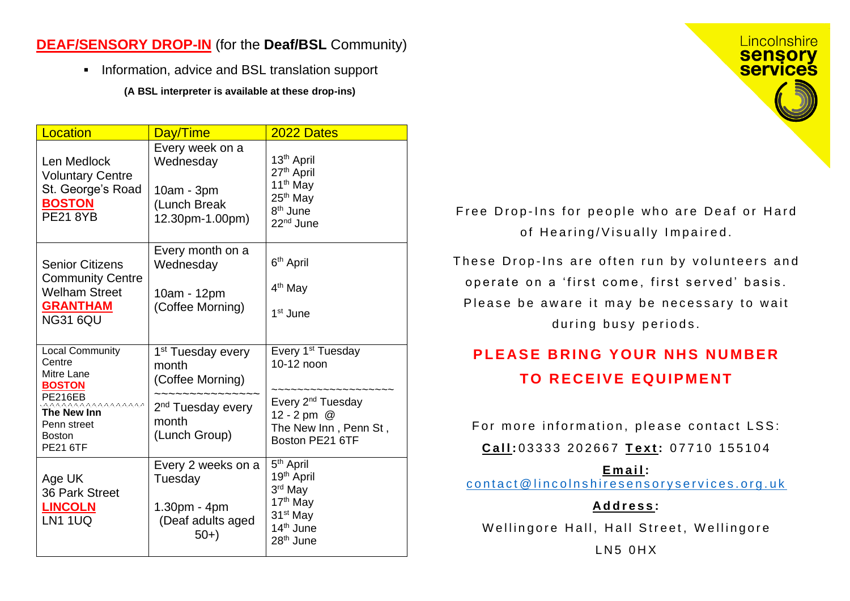## **DEAF/SENSORY DROP-IN** (for the **Deaf/BSL** Community)

■ Information, advice and BSL translation support

**(A BSL interpreter is available at these drop-ins)**

| Location                                                                                                                                                    | Day/Time                                                                                                              | 2022 Dates                                                                                                                                                   |
|-------------------------------------------------------------------------------------------------------------------------------------------------------------|-----------------------------------------------------------------------------------------------------------------------|--------------------------------------------------------------------------------------------------------------------------------------------------------------|
| Len Medlock<br><b>Voluntary Centre</b><br>St. George's Road<br><b>BOSTON</b><br><b>PE21 8YB</b>                                                             | Every week on a<br>Wednesday<br>10am - 3pm<br>(Lunch Break<br>12.30pm-1.00pm)                                         | 13 <sup>th</sup> April<br>27 <sup>th</sup> April<br>11 <sup>th</sup> May<br>25 <sup>th</sup> May<br>8 <sup>th</sup> June<br>22 <sup>nd</sup> June            |
| <b>Senior Citizens</b><br><b>Community Centre</b><br><b>Welham Street</b><br><b>GRANTHAM</b><br><b>NG31 6QU</b>                                             | Every month on a<br>Wednesday<br>10am - 12pm<br>(Coffee Morning)                                                      | 6 <sup>th</sup> April<br>4 <sup>th</sup> May<br>1 <sup>st</sup> June                                                                                         |
| <b>Local Community</b><br>Centre<br>Mitre Lane<br><b>BOSTON</b><br>PE216EB<br>ີດລາວລາວລາວ<br>The New Inn<br>Penn street<br><b>Boston</b><br><b>PE21 6TF</b> | 1 <sup>st</sup> Tuesday every<br>month<br>(Coffee Morning)<br>2 <sup>nd</sup> Tuesday every<br>month<br>(Lunch Group) | Every 1 <sup>st</sup> Tuesday<br>10-12 noon<br>Every 2 <sup>nd</sup> Tuesday<br>12 - 2 pm @<br>The New Inn, Penn St,<br>Boston PE21 6TF                      |
| Age UK<br><b>36 Park Street</b><br><b>LINCOLN</b><br><b>LN1 1UQ</b>                                                                                         | Every 2 weeks on a<br>Tuesday<br>1.30pm - 4pm<br>(Deaf adults aged<br>$50+$                                           | 5 <sup>th</sup> April<br>19 <sup>th</sup> April<br>3rd May<br>17 <sup>th</sup> May<br>31 <sup>st</sup> May<br>14 <sup>th</sup> June<br>28 <sup>th</sup> June |



Free Drop-Ins for people who are Deaf or Hard of Hearing/Visually Impaired.

These Drop-Ins are often run by volunteers and operate on a 'first come, first served' basis. Please be aware it may be necessary to wait during busy periods.

## **PLEASE BRING YOUR NHS NUMBER TO RECEIVE EQUIPMENT**

For more information, please contact LSS:

**C a l l :** 0 3 3 3 3 2 0 2 6 6 7 **T e x t :** 0 7 7 1 0 1 5 5 1 0 4

**E m a i l :**

contact@lincolnshiresensoryservices.org.uk

**A d d r e s s :**

Wellingore Hall, Hall Street, Wellingore

 $L$ N<sub>5</sub>  $0$ H $X$